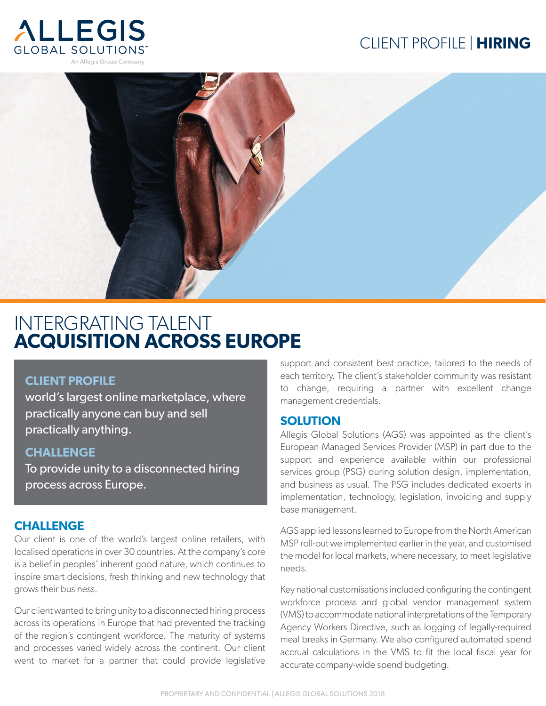# CLIENT PROFILE | **HIRING**





# INTERGRATING TALENT **ACQUISITION ACROSS EUROPE**

## **CLIENT PROFILE**

world's largest online marketplace, where practically anyone can buy and sell practically anything.

# **CHALLENGE**

To provide unity to a disconnected hiring process across Europe.

# **CHALLENGE**

Our client is one of the world's largest online retailers, with localised operations in over 30 countries. At the company's core is a belief in peoples' inherent good nature, which continues to inspire smart decisions, fresh thinking and new technology that grows their business.

Our client wanted to bring unity to a disconnected hiring process across its operations in Europe that had prevented the tracking of the region's contingent workforce. The maturity of systems and processes varied widely across the continent. Our client went to market for a partner that could provide legislative support and consistent best practice, tailored to the needs of each territory. The client's stakeholder community was resistant to change, requiring a partner with excellent change management credentials.

## **SOLUTION**

Allegis Global Solutions (AGS) was appointed as the client's European Managed Services Provider (MSP) in part due to the support and experience available within our professional services group (PSG) during solution design, implementation, and business as usual. The PSG includes dedicated experts in implementation, technology, legislation, invoicing and supply base management.

AGS applied lessons learned to Europe from the North American MSP roll-out we implemented earlier in the year, and customised the model for local markets, where necessary, to meet legislative needs.

Key national customisations included configuring the contingent workforce process and global vendor management system (VMS) to accommodate national interpretations of the Temporary Agency Workers Directive, such as logging of legally-required meal breaks in Germany. We also configured automated spend accrual calculations in the VMS to fit the local fiscal year for accurate company-wide spend budgeting.